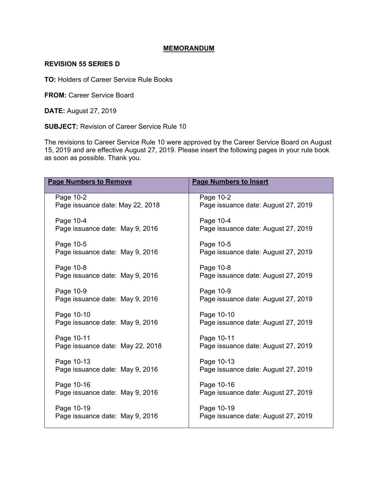### **MEMORANDUM**

#### **REVISION 55 SERIES D**

**TO:** Holders of Career Service Rule Books

**FROM:** Career Service Board

**DATE:** August 27, 2019

**SUBJECT:** Revision of Career Service Rule 10

The revisions to Career Service Rule 10 were approved by the Career Service Board on August 15, 2019 and are effective August 27, 2019. Please insert the following pages in your rule book as soon as possible. Thank you.

| <b>Page Numbers to Remove</b>    | <b>Page Numbers to Insert</b>       |
|----------------------------------|-------------------------------------|
| Page 10-2                        | Page 10-2                           |
| Page issuance date: May 22, 2018 | Page issuance date: August 27, 2019 |
| Page 10-4                        | Page 10-4                           |
| Page issuance date: May 9, 2016  | Page issuance date: August 27, 2019 |
| Page 10-5                        | Page 10-5                           |
| Page issuance date: May 9, 2016  | Page issuance date: August 27, 2019 |
| Page 10-8                        | Page 10-8                           |
| Page issuance date: May 9, 2016  | Page issuance date: August 27, 2019 |
| Page 10-9                        | Page 10-9                           |
| Page issuance date: May 9, 2016  | Page issuance date: August 27, 2019 |
| Page 10-10                       | Page 10-10                          |
| Page issuance date: May 9, 2016  | Page issuance date: August 27, 2019 |
| Page 10-11                       | Page 10-11                          |
| Page issuance date: May 22, 2018 | Page issuance date: August 27, 2019 |
| Page 10-13                       | Page 10-13                          |
| Page issuance date: May 9, 2016  | Page issuance date: August 27, 2019 |
| Page 10-16                       | Page 10-16                          |
| Page issuance date: May 9, 2016  | Page issuance date: August 27, 2019 |
| Page 10-19                       | Page 10-19                          |
| Page issuance date: May 9, 2016  | Page issuance date: August 27, 2019 |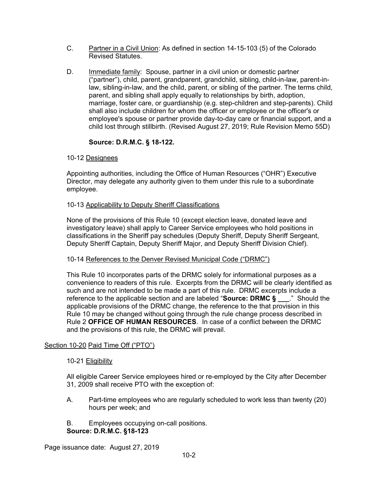- C. Partner in a Civil Union: As defined in section 14-15-103 (5) of the Colorado Revised Statutes.
- D. Immediate family: Spouse, partner in a civil union or domestic partner ("partner"), child, parent, grandparent, grandchild, sibling, child-in-law, parent-inlaw, sibling-in-law, and the child, parent, or sibling of the partner. The terms child, parent, and sibling shall apply equally to relationships by birth, adoption, marriage, foster care, or guardianship (e.g. step-children and step-parents). Child shall also include children for whom the officer or employee or the officer's or employee's spouse or partner provide day-to-day care or financial support, and a child lost through stillbirth. (Revised August 27, 2019; Rule Revision Memo 55D)

# **Source: D.R.M.C. § 18-122.**

# 10-12 Designees

Appointing authorities, including the Office of Human Resources ("OHR") Executive Director, may delegate any authority given to them under this rule to a subordinate employee.

## 10-13 Applicability to Deputy Sheriff Classifications

None of the provisions of this Rule 10 (except election leave, donated leave and investigatory leave) shall apply to Career Service employees who hold positions in classifications in the Sheriff pay schedules (Deputy Sheriff, Deputy Sheriff Sergeant, Deputy Sheriff Captain, Deputy Sheriff Major, and Deputy Sheriff Division Chief).

## 10-14 References to the Denver Revised Municipal Code ("DRMC")

This Rule 10 incorporates parts of the DRMC solely for informational purposes as a convenience to readers of this rule. Excerpts from the DRMC will be clearly identified as such and are not intended to be made a part of this rule. DRMC excerpts include a reference to the applicable section and are labeled "**Source: DRMC § \_\_\_**." Should the applicable provisions of the DRMC change, the reference to the that provision in this Rule 10 may be changed without going through the rule change process described in Rule 2 **OFFICE OF HUMAN RESOURCES**. In case of a conflict between the DRMC and the provisions of this rule, the DRMC will prevail.

# Section 10-20 Paid Time Off ("PTO")

## 10-21 Eligibility

All eligible Career Service employees hired or re-employed by the City after December 31, 2009 shall receive PTO with the exception of:

- A. Part-time employees who are regularly scheduled to work less than twenty (20) hours per week; and
- B. Employees occupying on-call positions. **Source: D.R.M.C. §18-123**

Page issuance date: August 27, 2019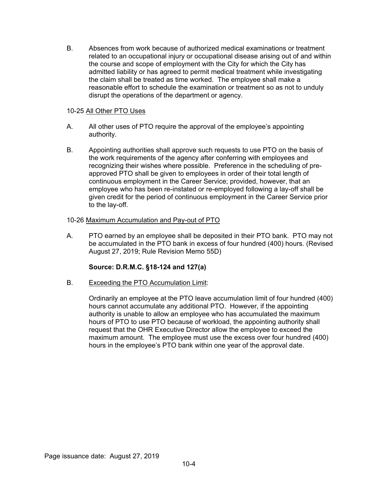B. Absences from work because of authorized medical examinations or treatment related to an occupational injury or occupational disease arising out of and within the course and scope of employment with the City for which the City has admitted liability or has agreed to permit medical treatment while investigating the claim shall be treated as time worked. The employee shall make a reasonable effort to schedule the examination or treatment so as not to unduly disrupt the operations of the department or agency.

## 10-25 All Other PTO Uses

- A. All other uses of PTO require the approval of the employee's appointing authority.
- B. Appointing authorities shall approve such requests to use PTO on the basis of the work requirements of the agency after conferring with employees and recognizing their wishes where possible. Preference in the scheduling of preapproved PTO shall be given to employees in order of their total length of continuous employment in the Career Service; provided, however, that an employee who has been re-instated or re-employed following a lay-off shall be given credit for the period of continuous employment in the Career Service prior to the lay-off.

## 10-26 Maximum Accumulation and Pay-out of PTO

A. PTO earned by an employee shall be deposited in their PTO bank. PTO may not be accumulated in the PTO bank in excess of four hundred (400) hours. (Revised August 27, 2019; Rule Revision Memo 55D)

## **Source: D.R.M.C. §18-124 and 127(a)**

B. Exceeding the PTO Accumulation Limit:

Ordinarily an employee at the PTO leave accumulation limit of four hundred (400) hours cannot accumulate any additional PTO. However, if the appointing authority is unable to allow an employee who has accumulated the maximum hours of PTO to use PTO because of workload, the appointing authority shall request that the OHR Executive Director allow the employee to exceed the maximum amount. The employee must use the excess over four hundred (400) hours in the employee's PTO bank within one year of the approval date.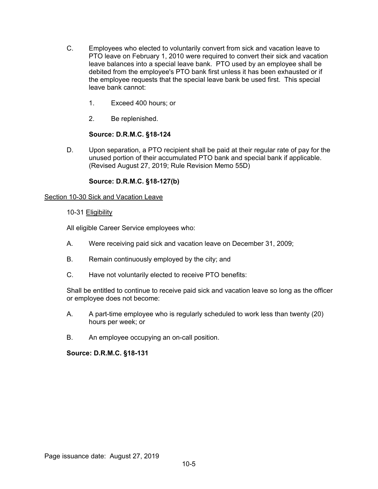- C. Employees who elected to voluntarily convert from sick and vacation leave to PTO leave on February 1, 2010 were required to convert their sick and vacation leave balances into a special leave bank. PTO used by an employee shall be debited from the employee's PTO bank first unless it has been exhausted or if the employee requests that the special leave bank be used first. This special leave bank cannot:
	- 1. Exceed 400 hours; or
	- 2. Be replenished.

# **Source: D.R.M.C. §18-124**

D. Upon separation, a PTO recipient shall be paid at their regular rate of pay for the unused portion of their accumulated PTO bank and special bank if applicable. (Revised August 27, 2019; Rule Revision Memo 55D)

# **Source: D.R.M.C. §18-127(b)**

## Section 10-30 Sick and Vacation Leave

### 10-31 Eligibility

All eligible Career Service employees who:

- A. Were receiving paid sick and vacation leave on December 31, 2009;
- B. Remain continuously employed by the city; and
- C. Have not voluntarily elected to receive PTO benefits:

Shall be entitled to continue to receive paid sick and vacation leave so long as the officer or employee does not become:

- A. A part-time employee who is regularly scheduled to work less than twenty (20) hours per week; or
- B. An employee occupying an on-call position.

## **Source: D.R.M.C. §18-131**

Page issuance date: August 27, 2019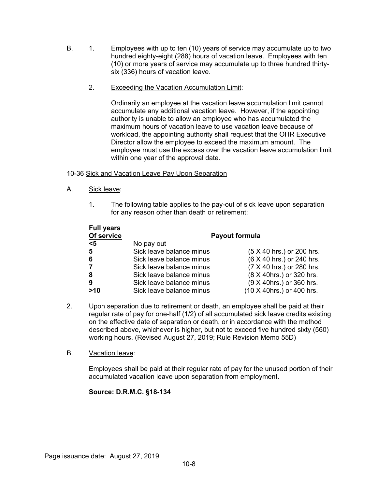- B. 1. Employees with up to ten (10) years of service may accumulate up to two hundred eighty-eight (288) hours of vacation leave. Employees with ten (10) or more years of service may accumulate up to three hundred thirtysix (336) hours of vacation leave.
	- 2. Exceeding the Vacation Accumulation Limit:

Ordinarily an employee at the vacation leave accumulation limit cannot accumulate any additional vacation leave. However, if the appointing authority is unable to allow an employee who has accumulated the maximum hours of vacation leave to use vacation leave because of workload, the appointing authority shall request that the OHR Executive Director allow the employee to exceed the maximum amount. The employee must use the excess over the vacation leave accumulation limit within one year of the approval date.

## 10-36 Sick and Vacation Leave Pay Upon Separation

- A. Sick leave:
	- 1. The following table applies to the pay-out of sick leave upon separation for any reason other than death or retirement:

| <b>Full years</b> |                          |                           |
|-------------------|--------------------------|---------------------------|
| Of service        | <b>Payout formula</b>    |                           |
| $5$               | No pay out               |                           |
| $5\phantom{.0}$   | Sick leave balance minus | (5 X 40 hrs.) or 200 hrs. |
| 6                 | Sick leave balance minus | (6 X 40 hrs.) or 240 hrs. |
| $\overline{7}$    | Sick leave balance minus | (7 X 40 hrs.) or 280 hrs. |
| 8                 | Sick leave balance minus | (8 X 40hrs.) or 320 hrs.  |
| 9                 | Sick leave balance minus | (9 X 40hrs.) or 360 hrs.  |
| >10               | Sick leave balance minus | (10 X 40hrs.) or 400 hrs. |

2. Upon separation due to retirement or death, an employee shall be paid at their regular rate of pay for one-half (1/2) of all accumulated sick leave credits existing on the effective date of separation or death, or in accordance with the method described above, whichever is higher, but not to exceed five hundred sixty (560) working hours. (Revised August 27, 2019; Rule Revision Memo 55D)

## B. Vacation leave:

Employees shall be paid at their regular rate of pay for the unused portion of their accumulated vacation leave upon separation from employment.

# **Source: D.R.M.C. §18-134**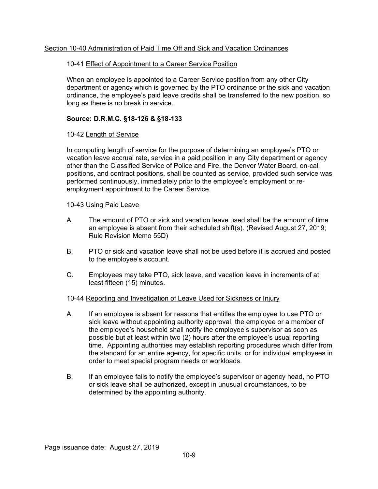## Section 10-40 Administration of Paid Time Off and Sick and Vacation Ordinances

## 10-41 Effect of Appointment to a Career Service Position

When an employee is appointed to a Career Service position from any other City department or agency which is governed by the PTO ordinance or the sick and vacation ordinance, the employee's paid leave credits shall be transferred to the new position, so long as there is no break in service.

### **Source: D.R.M.C. §18-126 & §18-133**

### 10-42 Length of Service

In computing length of service for the purpose of determining an employee's PTO or vacation leave accrual rate, service in a paid position in any City department or agency other than the Classified Service of Police and Fire, the Denver Water Board, on-call positions, and contract positions, shall be counted as service, provided such service was performed continuously, immediately prior to the employee's employment or reemployment appointment to the Career Service.

### 10-43 Using Paid Leave

- A. The amount of PTO or sick and vacation leave used shall be the amount of time an employee is absent from their scheduled shift(s). (Revised August 27, 2019; Rule Revision Memo 55D)
- B. PTO or sick and vacation leave shall not be used before it is accrued and posted to the employee's account.
- C. Employees may take PTO, sick leave, and vacation leave in increments of at least fifteen (15) minutes.

#### 10-44 Reporting and Investigation of Leave Used for Sickness or Injury

- A. If an employee is absent for reasons that entitles the employee to use PTO or sick leave without appointing authority approval, the employee or a member of the employee's household shall notify the employee's supervisor as soon as possible but at least within two (2) hours after the employee's usual reporting time. Appointing authorities may establish reporting procedures which differ from the standard for an entire agency, for specific units, or for individual employees in order to meet special program needs or workloads.
- B. If an employee fails to notify the employee's supervisor or agency head, no PTO or sick leave shall be authorized, except in unusual circumstances, to be determined by the appointing authority.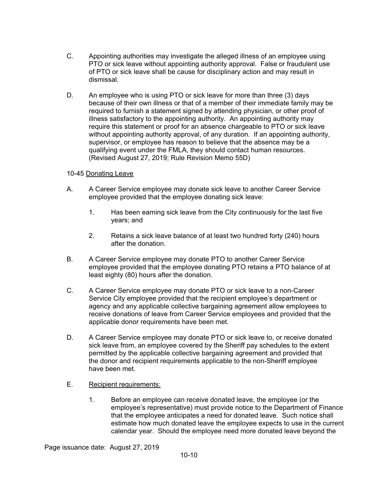- C. Appointing authorities may investigate the alleged illness of an employee using PTO or sick leave without appointing authority approval. False or fraudulent use of PTO or sick leave shall be cause for disciplinary action and may result in dismissal.
- D. An employee who is using PTO or sick leave for more than three (3) days because of their own illness or that of a member of their immediate family may be required to furnish a statement signed by attending physician, or other proof of illness satisfactory to the appointing authority. An appointing authority may require this statement or proof for an absence chargeable to PTO or sick leave without appointing authority approval, of any duration. If an appointing authority, supervisor, or employee has reason to believe that the absence may be a qualifying event under the FMLA, they should contact human resources. (Revised August 27, 2019; Rule Revision Memo 55D)

## 10-45 Donating Leave

- A. A Career Service employee may donate sick leave to another Career Service employee provided that the employee donating sick leave:
	- 1. Has been earning sick leave from the City continuously for the last five years; and
	- 2. Retains a sick leave balance of at least two hundred forty (240) hours after the donation.
- B. A Career Service employee may donate PTO to another Career Service employee provided that the employee donating PTO retains a PTO balance of at least eighty (80) hours after the donation.
- C. A Career Service employee may donate PTO or sick leave to a non-Career Service City employee provided that the recipient employee's department or agency and any applicable collective bargaining agreement allow employees to receive donations of leave from Career Service employees and provided that the applicable donor requirements have been met.
- D. A Career Service employee may donate PTO or sick leave to, or receive donated sick leave from, an employee covered by the Sheriff pay schedules to the extent permitted by the applicable collective bargaining agreement and provided that the donor and recipient requirements applicable to the non-Sheriff employee have been met.
- E. Recipient requirements:
	- 1. Before an employee can receive donated leave, the employee (or the employee's representative) must provide notice to the Department of Finance that the employee anticipates a need for donated leave. Such notice shall estimate how much donated leave the employee expects to use in the current calendar year. Should the employee need more donated leave beyond the

Page issuance date: August 27, 2019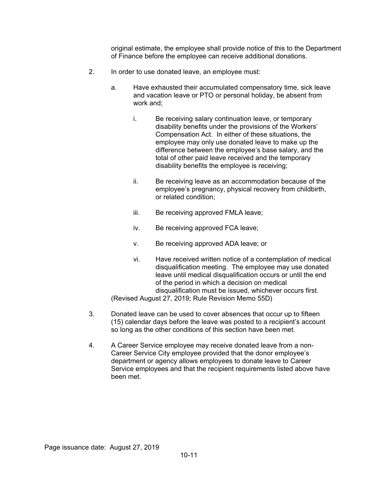original estimate, the employee shall provide notice of this to the Department of Finance before the employee can receive additional donations.

- 2. In order to use donated leave, an employee must:
	- a. Have exhausted their accumulated compensatory time, sick leave and vacation leave or PTO or personal holiday, be absent from work and;
		- i. Be receiving salary continuation leave, or temporary disability benefits under the provisions of the Workers' Compensation Act. In either of these situations, the employee may only use donated leave to make up the difference between the employee's base salary, and the total of other paid leave received and the temporary disability benefits the employee is receiving;
		- ii. Be receiving leave as an accommodation because of the employee's pregnancy, physical recovery from childbirth, or related condition;
		- iii. Be receiving approved FMLA leave;
		- iv. Be receiving approved FCA leave;
		- v. Be receiving approved ADA leave; or
		- vi. Have received written notice of a contemplation of medical disqualification meeting. The employee may use donated leave until medical disqualification occurs or until the end of the period in which a decision on medical disqualification must be issued, whichever occurs first.

(Revised August 27, 2019; Rule Revision Memo 55D)

- 3. Donated leave can be used to cover absences that occur up to fifteen (15) calendar days before the leave was posted to a recipient's account so long as the other conditions of this section have been met.
- 4. A Career Service employee may receive donated leave from a non-Career Service City employee provided that the donor employee's department or agency allows employees to donate leave to Career Service employees and that the recipient requirements listed above have been met.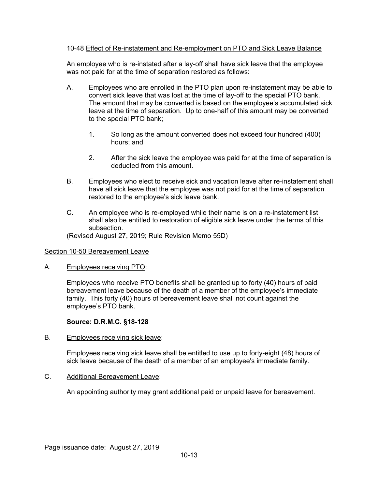## 10-48 Effect of Re-instatement and Re-employment on PTO and Sick Leave Balance

An employee who is re-instated after a lay-off shall have sick leave that the employee was not paid for at the time of separation restored as follows:

- A. Employees who are enrolled in the PTO plan upon re-instatement may be able to convert sick leave that was lost at the time of lay-off to the special PTO bank. The amount that may be converted is based on the employee's accumulated sick leave at the time of separation. Up to one-half of this amount may be converted to the special PTO bank;
	- 1. So long as the amount converted does not exceed four hundred (400) hours; and
	- 2. After the sick leave the employee was paid for at the time of separation is deducted from this amount.
- B. Employees who elect to receive sick and vacation leave after re-instatement shall have all sick leave that the employee was not paid for at the time of separation restored to the employee's sick leave bank.
- C. An employee who is re-employed while their name is on a re-instatement list shall also be entitled to restoration of eligible sick leave under the terms of this subsection.

(Revised August 27, 2019; Rule Revision Memo 55D)

## Section 10-50 Bereavement Leave

A. Employees receiving PTO:

Employees who receive PTO benefits shall be granted up to forty (40) hours of paid bereavement leave because of the death of a member of the employee's immediate family. This forty (40) hours of bereavement leave shall not count against the employee's PTO bank.

## **Source: D.R.M.C. §18-128**

B. Employees receiving sick leave:

Employees receiving sick leave shall be entitled to use up to forty-eight (48) hours of sick leave because of the death of a member of an employee's immediate family.

C. Additional Bereavement Leave:

An appointing authority may grant additional paid or unpaid leave for bereavement.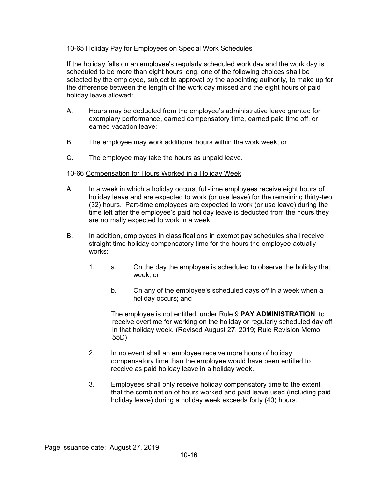## 10-65 Holiday Pay for Employees on Special Work Schedules

If the holiday falls on an employee's regularly scheduled work day and the work day is scheduled to be more than eight hours long, one of the following choices shall be selected by the employee, subject to approval by the appointing authority, to make up for the difference between the length of the work day missed and the eight hours of paid holiday leave allowed:

- A. Hours may be deducted from the employee's administrative leave granted for exemplary performance, earned compensatory time, earned paid time off, or earned vacation leave;
- B. The employee may work additional hours within the work week; or
- C. The employee may take the hours as unpaid leave.

#### 10-66 Compensation for Hours Worked in a Holiday Week

- A. In a week in which a holiday occurs, full-time employees receive eight hours of holiday leave and are expected to work (or use leave) for the remaining thirty-two (32) hours. Part-time employees are expected to work (or use leave) during the time left after the employee's paid holiday leave is deducted from the hours they are normally expected to work in a week.
- B. In addition, employees in classifications in exempt pay schedules shall receive straight time holiday compensatory time for the hours the employee actually works:
	- 1. a. On the day the employee is scheduled to observe the holiday that week, or
		- b. On any of the employee's scheduled days off in a week when a holiday occurs; and

The employee is not entitled, under Rule 9 **PAY ADMINISTRATION**, to receive overtime for working on the holiday or regularly scheduled day off in that holiday week. (Revised August 27, 2019; Rule Revision Memo 55D)

- 2. In no event shall an employee receive more hours of holiday compensatory time than the employee would have been entitled to receive as paid holiday leave in a holiday week.
- 3. Employees shall only receive holiday compensatory time to the extent that the combination of hours worked and paid leave used (including paid holiday leave) during a holiday week exceeds forty (40) hours.